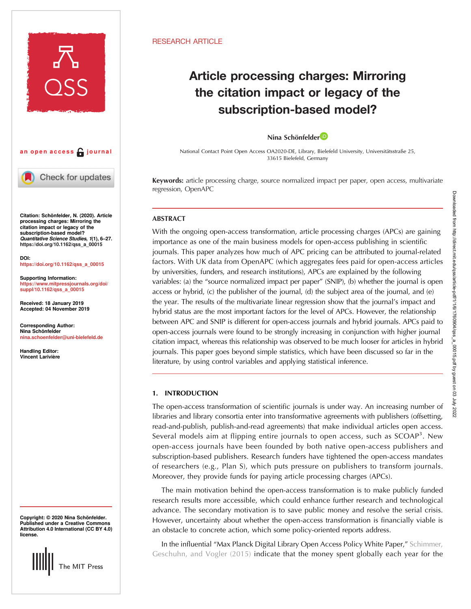

# an open access  $\bigcap$  journal

Check for updates

Citation: Schönfelder, N. (2020). Article processing charges: Mirroring the citation impact or legacy of the subscription-based model? Quantitative Science Studies, 1(1), 6–27. [https://doi.org/10.1162/qss\\_a\\_00015](https://doi.org/10.1162/qss_a_00015)

DOI: [https://doi.org/10.1162/qss\\_a\\_00015](https://doi.org/10.1162/qss_a_00015)

Supporting Information: [https://www.mitpressjournals.org/doi/](https://doi.org/10.1162/qss_a_00015) [suppl/10.1162/qss\\_a\\_00015](https://doi.org/10.1162/qss_a_00015)

Received: 18 January 2019 Accepted: 04 November 2019

Corresponding Author: Nina Schönfelder [nina.schoenfelder@uni-bielefeld.de](mailto:nina.schoenfelder@uni-bielefeld.de)

Handling Editor: Vincent Larivière

Copyright: © 2020 Nina Schönfelder. Published under a Creative Commons Attribution 4.0 International (CC BY 4.0) license.



# RESEARCH ARTICLE

# Article processing charges: Mirroring the citation impact or legacy of the subscription-based model?

# Nina Schönfelder

National Contact Point Open Access OA2020-DE, Library, Bielefeld University, Universitätsstraße 25, 33615 Bielefeld, Germany

Keywords: article processing charge, source normalized impact per paper, open access, multivariate regression, OpenAPC

## ABSTRACT

With the ongoing open-access transformation, article processing charges (APCs) are gaining importance as one of the main business models for open-access publishing in scientific journals. This paper analyzes how much of APC pricing can be attributed to journal-related factors. With UK data from OpenAPC (which aggregates fees paid for open-access articles by universities, funders, and research institutions), APCs are explained by the following variables: (a) the "source normalized impact per paper" (SNIP), (b) whether the journal is open access or hybrid, (c) the publisher of the journal, (d) the subject area of the journal, and (e) the year. The results of the multivariate linear regression show that the journal's impact and hybrid status are the most important factors for the level of APCs. However, the relationship between APC and SNIP is different for open-access journals and hybrid journals. APCs paid to open-access journals were found to be strongly increasing in conjunction with higher journal citation impact, whereas this relationship was observed to be much looser for articles in hybrid journals. This paper goes beyond simple statistics, which have been discussed so far in the literature, by using control variables and applying statistical inference.

## 1. INTRODUCTION

The open-access transformation of scientific journals is under way. An increasing number of libraries and library consortia enter into transformative agreements with publishers (offsetting, read-and-publish, publish-and-read agreements) that make individual articles open access. Several models aim at flipping entire journals to open access, such as  $SCOAP<sup>3</sup>$ . New open-access journals have been founded by both native open-access publishers and subscription-based publishers. Research funders have tightened the open-access mandates of researchers (e.g., Plan S), which puts pressure on publishers to transform journals. Moreover, they provide funds for paying article processing charges (APCs).

The main motivation behind the open-access transformation is to make publicly funded research results more accessible, which could enhance further research and technological advance. The secondary motivation is to save public money and resolve the serial crisis. However, uncertainty about whether the open-access transformation is financially viable is an obstacle to concrete action, which some policy-oriented reports address.

In the influential "Max Planck Digital Library Open Access Policy White Paper," [Schimmer,](#page-21-0) [Geschuhn, and Vogler \(2015\)](#page-21-0) indicate that the money spent globally each year for the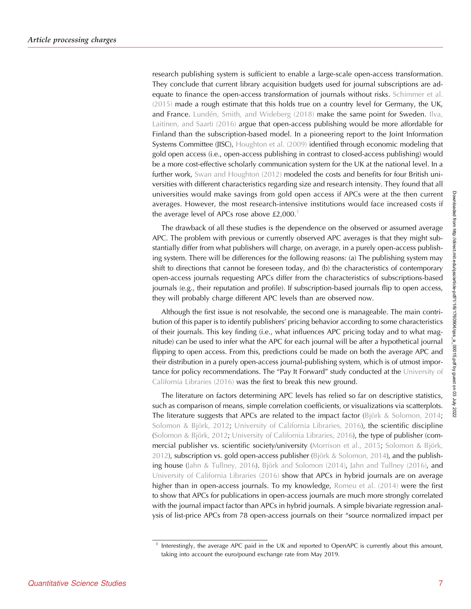research publishing system is sufficient to enable a large-scale open-access transformation. They conclude that current library acquisition budgets used for journal subscriptions are adequate to finance the open-access transformation of journals without risks. [Schimmer et al.](#page-21-0) [\(2015\)](#page-21-0) made a rough estimate that this holds true on a country level for Germany, the UK, and France. [Lundén, Smith, and Wideberg \(2018\)](#page-21-0) make the same point for Sweden. [Ilva,](#page-21-0) [Laitinen, and Saarti \(2016\)](#page-21-0) argue that open-access publishing would be more affordable for Finland than the subscription-based model. In a pioneering report to the Joint Information Systems Committee (JISC), [Houghton et al. \(2009\)](#page-21-0) identified through economic modeling that gold open access (i.e., open-access publishing in contrast to closed-access publishing) would be a more cost-effective scholarly communication system for the UK at the national level. In a further work, [Swan and Houghton \(2012\)](#page-21-0) modeled the costs and benefits for four British universities with different characteristics regarding size and research intensity. They found that all universities would make savings from gold open access if APCs were at the then current averages. However, the most research-intensive institutions would face increased costs if the average level of APCs rose above £2,000.

The drawback of all these studies is the dependence on the observed or assumed average APC. The problem with previous or currently observed APC averages is that they might substantially differ from what publishers will charge, on average, in a purely open-access publishing system. There will be differences for the following reasons: (a) The publishing system may shift to directions that cannot be foreseen today, and (b) the characteristics of contemporary open-access journals requesting APCs differ from the characteristics of subscriptions-based journals (e.g., their reputation and profile). If subscription-based journals flip to open access, they will probably charge different APC levels than are observed now.

Although the first issue is not resolvable, the second one is manageable. The main contribution of this paper is to identify publishers' pricing behavior according to some characteristics of their journals. This key finding (i.e., what influences APC pricing today and to what magnitude) can be used to infer what the APC for each journal will be after a hypothetical journal flipping to open access. From this, predictions could be made on both the average APC and their distribution in a purely open-access journal-publishing system, which is of utmost impor-tance for policy recommendations. The "Pay It Forward" study conducted at the [University of](#page-21-0) [California Libraries \(2016\)](#page-21-0) was the first to break this new ground.

The literature on factors determining APC levels has relied so far on descriptive statistics, such as comparison of means, simple correlation coefficients, or visualizations via scatterplots. The literature suggests that APCs are related to the impact factor [\(Björk & Solomon, 2014](#page-21-0); [Solomon & Björk, 2012](#page-21-0); [University of California Libraries, 2016\)](#page-21-0), the scientific discipline ([Solomon & Björk, 2012](#page-21-0); [University of California Libraries, 2016\)](#page-21-0), the type of publisher (commercial publisher vs. scientific society/university [\(Morrison et al., 2015](#page-21-0); [Solomon & Björk,](#page-21-0) [2012\)](#page-21-0), subscription vs. gold open-access publisher [\(Björk & Solomon, 2014\)](#page-21-0), and the publish-ing house ([Jahn & Tullney, 2016](#page-21-0)). [Björk and Solomon \(2014\),](#page-21-0) [Jahn and Tullney \(2016\),](#page-21-0) and [University of California Libraries \(2016\)](#page-21-0) show that APCs in hybrid journals are on average higher than in open-access journals. To my knowledge, [Romeu et al. \(2014\)](#page-21-0) were the first to show that APCs for publications in open-access journals are much more strongly correlated with the journal impact factor than APCs in hybrid journals. A simple bivariate regression analysis of list-price APCs from 78 open-access journals on their "source normalized impact per

<sup>&</sup>lt;sup>1</sup> Interestingly, the average APC paid in the UK and reported to OpenAPC is currently about this amount, taking into account the euro/pound exchange rate from May 2019.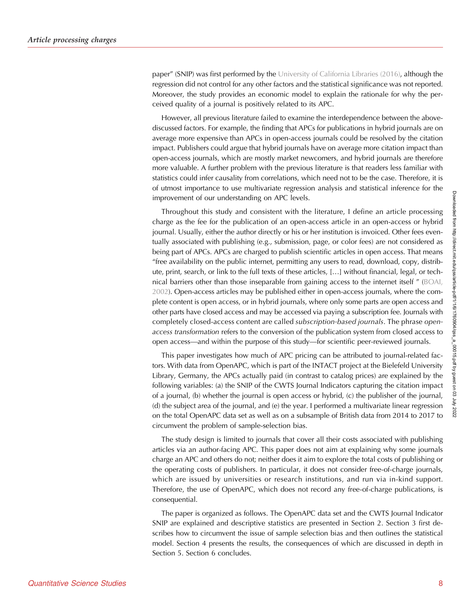paper" (SNIP) was first performed by the [University of California Libraries \(2016\)](#page-21-0), although the regression did not control for any other factors and the statistical significance was not reported. Moreover, the study provides an economic model to explain the rationale for why the perceived quality of a journal is positively related to its APC.

However, all previous literature failed to examine the interdependence between the abovediscussed factors. For example, the finding that APCs for publications in hybrid journals are on average more expensive than APCs in open-access journals could be resolved by the citation impact. Publishers could argue that hybrid journals have on average more citation impact than open-access journals, which are mostly market newcomers, and hybrid journals are therefore more valuable. A further problem with the previous literature is that readers less familiar with statistics could infer causality from correlations, which need not to be the case. Therefore, it is of utmost importance to use multivariate regression analysis and statistical inference for the improvement of our understanding on APC levels.

Throughout this study and consistent with the literature, I define an article processing charge as the fee for the publication of an open-access article in an open-access or hybrid journal. Usually, either the author directly or his or her institution is invoiced. Other fees eventually associated with publishing (e.g., submission, page, or color fees) are not considered as being part of APCs. APCs are charged to publish scientific articles in open access. That means "free availability on the public internet, permitting any users to read, download, copy, distribute, print, search, or link to the full texts of these articles, […] without financial, legal, or technical barriers other than those inseparable from gaining access to the internet itself " [\(BOAI,](#page-21-0) [2002\)](#page-21-0). Open-access articles may be published either in open-access journals, where the complete content is open access, or in hybrid journals, where only some parts are open access and other parts have closed access and may be accessed via paying a subscription fee. Journals with completely closed-access content are called *subscription-based journals*. The phrase openaccess transformation refers to the conversion of the publication system from closed access to open access—and within the purpose of this study—for scientific peer-reviewed journals.

This paper investigates how much of APC pricing can be attributed to journal-related factors. With data from OpenAPC, which is part of the INTACT project at the Bielefeld University Library, Germany, the APCs actually paid (in contrast to catalog prices) are explained by the following variables: (a) the SNIP of the CWTS Journal Indicators capturing the citation impact of a journal, (b) whether the journal is open access or hybrid, (c) the publisher of the journal, (d) the subject area of the journal, and (e) the year. I performed a multivariate linear regression on the total OpenAPC data set as well as on a subsample of British data from 2014 to 2017 to circumvent the problem of sample-selection bias.

The study design is limited to journals that cover all their costs associated with publishing articles via an author-facing APC. This paper does not aim at explaining why some journals charge an APC and others do not; neither does it aim to explore the total costs of publishing or the operating costs of publishers. In particular, it does not consider free-of-charge journals, which are issued by universities or research institutions, and run via in-kind support. Therefore, the use of OpenAPC, which does not record any free-of-charge publications, is consequential.

The paper is organized as follows. The OpenAPC data set and the CWTS Journal Indicator SNIP are explained and descriptive statistics are presented in Section 2. Section 3 first describes how to circumvent the issue of sample selection bias and then outlines the statistical model. Section 4 presents the results, the consequences of which are discussed in depth in Section 5. Section 6 concludes.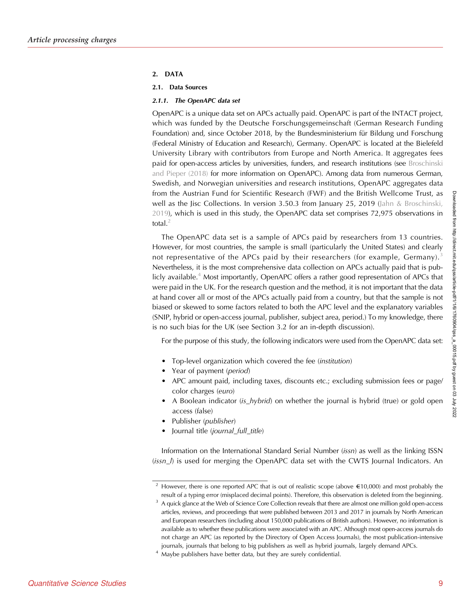## 2. DATA

# 2.1. Data Sources

# 2.1.1. The OpenAPC data set

OpenAPC is a unique data set on APCs actually paid. OpenAPC is part of the INTACT project, which was funded by the Deutsche Forschungsgemeinschaft (German Research Funding Foundation) and, since October 2018, by the Bundesministerium für Bildung und Forschung (Federal Ministry of Education and Research), Germany. OpenAPC is located at the Bielefeld University Library with contributors from Europe and North America. It aggregates fees paid for open-access articles by universities, funders, and research institutions (see [Broschinski](#page-21-0) [and Pieper \(2018\)](#page-21-0) for more information on OpenAPC). Among data from numerous German, Swedish, and Norwegian universities and research institutions, OpenAPC aggregates data from the Austrian Fund for Scientific Research (FWF) and the British Wellcome Trust, as well as the Jisc Collections. In version 3.50.3 from January 25, 2019 ([Jahn & Broschinski,](#page-21-0) [2019\)](#page-21-0), which is used in this study, the OpenAPC data set comprises 72,975 observations in total. $<sup>2</sup>$ </sup>

The OpenAPC data set is a sample of APCs paid by researchers from 13 countries. However, for most countries, the sample is small (particularly the United States) and clearly not representative of the APCs paid by their researchers (for example, Germany).<sup>3</sup> Nevertheless, it is the most comprehensive data collection on APCs actually paid that is publicly available. $4$  Most importantly, OpenAPC offers a rather good representation of APCs that were paid in the UK. For the research question and the method, it is not important that the data at hand cover all or most of the APCs actually paid from a country, but that the sample is not biased or skewed to some factors related to both the APC level and the explanatory variables (SNIP, hybrid or open-access journal, publisher, subject area, period.) To my knowledge, there is no such bias for the UK (see Section 3.2 for an in-depth discussion).

For the purpose of this study, the following indicators were used from the OpenAPC data set:

- Top-level organization which covered the fee (institution)
- Year of payment (period)
- APC amount paid, including taxes, discounts etc.; excluding submission fees or page/ color charges (euro)
- A Boolean indicator (is\_hybrid) on whether the journal is hybrid (true) or gold open access (false)
- Publisher (publisher)
- Journal title (journal\_full\_title)

Information on the International Standard Serial Number (*issn*) as well as the linking ISSN (issn\_l) is used for merging the OpenAPC data set with the CWTS Journal Indicators. An

<sup>&</sup>lt;sup>2</sup> However, there is one reported APC that is out of realistic scope (above  $\in$ 10,000) and most probably the result of a typing error (misplaced decimal points). Therefore, this observation is deleted from the beginning.

<sup>&</sup>lt;sup>3</sup> A quick glance at the Web of Science Core Collection reveals that there are almost one million gold open-access articles, reviews, and proceedings that were published between 2013 and 2017 in journals by North American and European researchers (including about 150,000 publications of British authors). However, no information is available as to whether these publications were associated with an APC. Although most open-access journals do not charge an APC (as reported by the Directory of Open Access Journals), the most publication-intensive journals, journals that belong to big publishers as well as hybrid journals, largely demand APCs.

 $4\,$  Maybe publishers have better data, but they are surely confidential.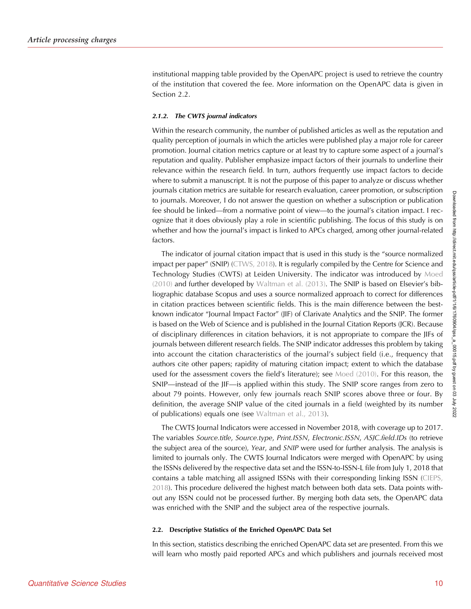institutional mapping table provided by the OpenAPC project is used to retrieve the country of the institution that covered the fee. More information on the OpenAPC data is given in Section 2.2.

## 2.1.2. The CWTS journal indicators

Within the research community, the number of published articles as well as the reputation and quality perception of journals in which the articles were published play a major role for career promotion. Journal citation metrics capture or at least try to capture some aspect of a journal's reputation and quality. Publisher emphasize impact factors of their journals to underline their relevance within the research field. In turn, authors frequently use impact factors to decide where to submit a manuscript. It is not the purpose of this paper to analyze or discuss whether journals citation metrics are suitable for research evaluation, career promotion, or subscription to journals. Moreover, I do not answer the question on whether a subscription or publication fee should be linked—from a normative point of view—to the journal's citation impact. I recognize that it does obviously play a role in scientific publishing. The focus of this study is on whether and how the journal's impact is linked to APCs charged, among other journal-related factors.

The indicator of journal citation impact that is used in this study is the "source normalized impact per paper" (SNIP) [\(CTWS, 2018\)](#page-21-0). It is regularly compiled by the Centre for Science and Technology Studies (CWTS) at Leiden University. The indicator was introduced by [Moed](#page-21-0) [\(2010\)](#page-21-0) and further developed by [Waltman et al. \(2013\)](#page-21-0). The SNIP is based on Elsevier's bibliographic database Scopus and uses a source normalized approach to correct for differences in citation practices between scientific fields. This is the main difference between the bestknown indicator "Journal Impact Factor" (JIF) of Clarivate Analytics and the SNIP. The former is based on the Web of Science and is published in the Journal Citation Reports (JCR). Because of disciplinary differences in citation behaviors, it is not appropriate to compare the JIFs of journals between different research fields. The SNIP indicator addresses this problem by taking into account the citation characteristics of the journal's subject field (i.e., frequency that authors cite other papers; rapidity of maturing citation impact; extent to which the database used for the assessment covers the field's literature); see [Moed \(2010\).](#page-21-0) For this reason, the SNIP—instead of the JIF—is applied within this study. The SNIP score ranges from zero to about 79 points. However, only few journals reach SNIP scores above three or four. By definition, the average SNIP value of the cited journals in a field (weighted by its number of publications) equals one (see [Waltman et al., 2013](#page-21-0)).

The CWTS Journal Indicators were accessed in November 2018, with coverage up to 2017. The variables Source.title, Source.type, Print.ISSN, Electronic.ISSN, ASJC.field.IDs (to retrieve the subject area of the source), Year, and SNIP were used for further analysis. The analysis is limited to journals only. The CWTS Journal Indicators were merged with OpenAPC by using the ISSNs delivered by the respective data set and the ISSN-to-ISSN-L file from July 1, 2018 that contains a table matching all assigned ISSNs with their corresponding linking ISSN ([CIEPS,](#page-21-0) [2018\)](#page-21-0). This procedure delivered the highest match between both data sets. Data points without any ISSN could not be processed further. By merging both data sets, the OpenAPC data was enriched with the SNIP and the subject area of the respective journals.

#### 2.2. Descriptive Statistics of the Enriched OpenAPC Data Set

In this section, statistics describing the enriched OpenAPC data set are presented. From this we will learn who mostly paid reported APCs and which publishers and journals received most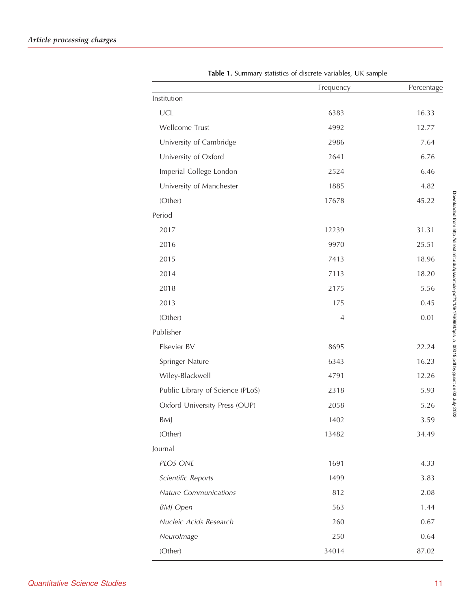<span id="page-5-0"></span>

|                                  | Frequency      | Percentage |
|----------------------------------|----------------|------------|
| Institution                      |                |            |
| UCL                              | 6383           | 16.33      |
| Wellcome Trust                   | 4992           | 12.77      |
| University of Cambridge          | 2986           | 7.64       |
| University of Oxford             | 2641           | 6.76       |
| Imperial College London          | 2524           | 6.46       |
| University of Manchester         | 1885           | 4.82       |
| (Other)                          | 17678          | 45.22      |
| Period                           |                |            |
| 2017                             | 12239          | 31.31      |
| 2016                             | 9970           | 25.51      |
| 2015                             | 7413           | 18.96      |
| 2014                             | 7113           | 18.20      |
| 2018                             | 2175           | 5.56       |
| 2013                             | 175            | 0.45       |
| (Other)                          | $\overline{4}$ | 0.01       |
| Publisher                        |                |            |
| Elsevier BV                      | 8695           | 22.24      |
| Springer Nature                  | 6343           | 16.23      |
| Wiley-Blackwell                  | 4791           | 12.26      |
| Public Library of Science (PLoS) | 2318           | 5.93       |
| Oxford University Press (OUP)    | 2058           | 5.26       |
| <b>BMJ</b>                       | 1402           | 3.59       |
| (Other)                          | 13482          | 34.49      |
| Journal                          |                |            |
| PLOS ONE                         | 1691           | 4.33       |
| Scientific Reports               | 1499           | 3.83       |
| <b>Nature Communications</b>     | 812            | 2.08       |
| <b>BMJ</b> Open                  | 563            | 1.44       |
| Nucleic Acids Research           | 260            | 0.67       |
| NeuroImage                       | 250            | 0.64       |
| (Other)                          | 34014          | 87.02      |

Table 1. Summary statistics of discrete variables, UK sample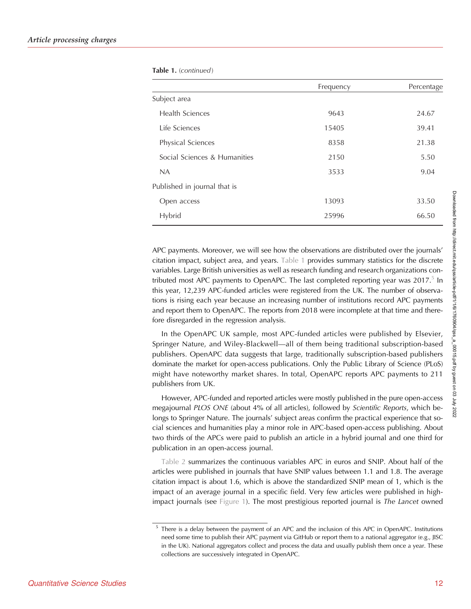|                              | Frequency | Percentage |
|------------------------------|-----------|------------|
| Subject area                 |           |            |
| <b>Health Sciences</b>       | 9643      | 24.67      |
| Life Sciences                | 15405     | 39.41      |
| Physical Sciences            | 8358      | 21.38      |
| Social Sciences & Humanities | 2150      | 5.50       |
| <b>NA</b>                    | 3533      | 9.04       |
| Published in journal that is |           |            |
| Open access                  | 13093     | 33.50      |
| Hybrid                       | 25996     | 66.50      |

Table 1. (continued)

APC payments. Moreover, we will see how the observations are distributed over the journals' citation impact, subject area, and years. [Table 1](#page-5-0) provides summary statistics for the discrete variables. Large British universities as well as research funding and research organizations contributed most APC payments to OpenAPC. The last completed reporting year was  $2017<sup>5</sup>$  In this year, 12,239 APC-funded articles were registered from the UK. The number of observations is rising each year because an increasing number of institutions record APC payments and report them to OpenAPC. The reports from 2018 were incomplete at that time and therefore disregarded in the regression analysis.

In the OpenAPC UK sample, most APC-funded articles were published by Elsevier, Springer Nature, and Wiley-Blackwell—all of them being traditional subscription-based publishers. OpenAPC data suggests that large, traditionally subscription-based publishers dominate the market for open-access publications. Only the Public Library of Science (PLoS) might have noteworthy market shares. In total, OpenAPC reports APC payments to 211 publishers from UK.

However, APC-funded and reported articles were mostly published in the pure open-access megajournal PLOS ONE (about 4% of all articles), followed by Scientific Reports, which belongs to Springer Nature. The journals' subject areas confirm the practical experience that social sciences and humanities play a minor role in APC-based open-access publishing. About two thirds of the APCs were paid to publish an article in a hybrid journal and one third for publication in an open-access journal.

[Table 2](#page-7-0) summarizes the continuous variables APC in euros and SNIP. About half of the articles were published in journals that have SNIP values between 1.1 and 1.8. The average citation impact is about 1.6, which is above the standardized SNIP mean of 1, which is the impact of an average journal in a specific field. Very few articles were published in high-impact journals (see [Figure 1\)](#page-8-0). The most prestigious reported journal is The Lancet owned

<sup>&</sup>lt;sup>5</sup> There is a delay between the payment of an APC and the inclusion of this APC in OpenAPC. Institutions need some time to publish their APC payment via GitHub or report them to a national aggregator (e.g., JISC in the UK). National aggregators collect and process the data and usually publish them once a year. These collections are successively integrated in OpenAPC.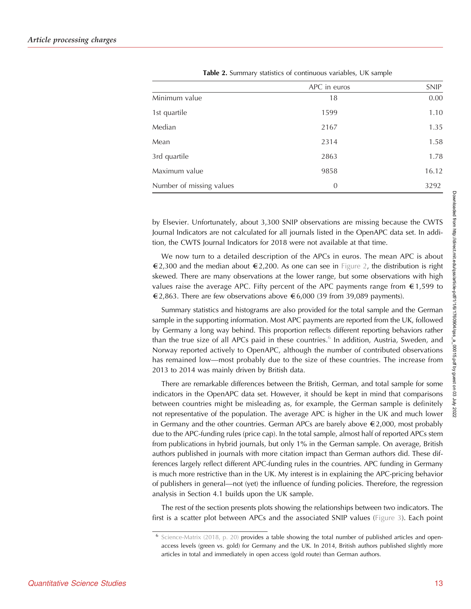<span id="page-7-0"></span>

|                          | APC in euros | <b>SNIP</b> |
|--------------------------|--------------|-------------|
| Minimum value            | 18           | 0.00        |
| 1st quartile             | 1599         | 1.10        |
| Median                   | 2167         | 1.35        |
| Mean                     | 2314         | 1.58        |
| 3rd quartile             | 2863         | 1.78        |
| Maximum value            | 9858         | 16.12       |
| Number of missing values | $\theta$     | 3292        |

Table 2. Summary statistics of continuous variables, UK sample

by Elsevier. Unfortunately, about 3,300 SNIP observations are missing because the CWTS Journal Indicators are not calculated for all journals listed in the OpenAPC data set. In addition, the CWTS Journal Indicators for 2018 were not available at that time.

We now turn to a detailed description of the APCs in euros. The mean APC is about  $\epsilon$ 2,300 and the median about  $\epsilon$ 2,200. As one can see in [Figure 2](#page-8-0), the distribution is right skewed. There are many observations at the lower range, but some observations with high values raise the average APC. Fifty percent of the APC payments range from  $\epsilon$ 1,599 to €2,863. There are few observations above €6,000 (39 from 39,089 payments).

Summary statistics and histograms are also provided for the total sample and the German sample in the supporting information. Most APC payments are reported from the UK, followed by Germany a long way behind. This proportion reflects different reporting behaviors rather than the true size of all APCs paid in these countries.<sup>6</sup> In addition, Austria, Sweden, and Norway reported actively to OpenAPC, although the number of contributed observations has remained low—most probably due to the size of these countries. The increase from 2013 to 2014 was mainly driven by British data.

There are remarkable differences between the British, German, and total sample for some indicators in the OpenAPC data set. However, it should be kept in mind that comparisons between countries might be misleading as, for example, the German sample is definitely not representative of the population. The average APC is higher in the UK and much lower in Germany and the other countries. German APCs are barely above  $\epsilon$  2,000, most probably due to the APC-funding rules (price cap). In the total sample, almost half of reported APCs stem from publications in hybrid journals, but only 1% in the German sample. On average, British authors published in journals with more citation impact than German authors did. These differences largely reflect different APC-funding rules in the countries. APC funding in Germany is much more restrictive than in the UK. My interest is in explaining the APC-pricing behavior of publishers in general—not (yet) the influence of funding policies. Therefore, the regression analysis in Section 4.1 builds upon the UK sample.

The rest of the section presents plots showing the relationships between two indicators. The first is a scatter plot between APCs and the associated SNIP values ([Figure 3](#page-9-0)). Each point

<sup>6</sup> [Science-Matrix \(2018, p. 20\)](#page-21-0) provides a table showing the total number of published articles and openaccess levels (green vs. gold) for Germany and the UK. In 2014, British authors published slightly more articles in total and immediately in open access (gold route) than German authors.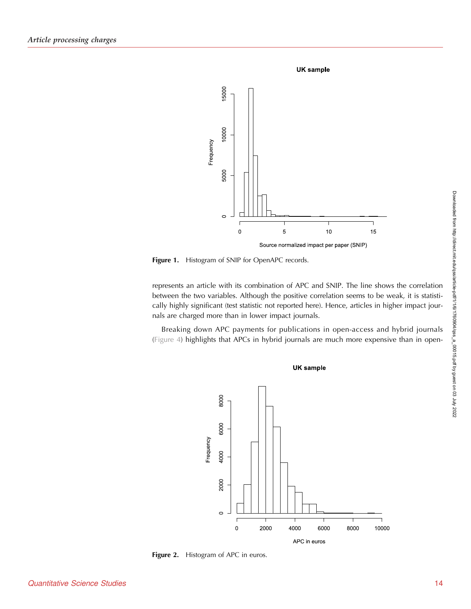<span id="page-8-0"></span>

Figure 1. Histogram of SNIP for OpenAPC records.

represents an article with its combination of APC and SNIP. The line shows the correlation between the two variables. Although the positive correlation seems to be weak, it is statistically highly significant (test statistic not reported here). Hence, articles in higher impact journals are charged more than in lower impact journals.

Breaking down APC payments for publications in open-access and hybrid journals ([Figure 4\)](#page-9-0) highlights that APCs in hybrid journals are much more expensive than in open-



Figure 2. Histogram of APC in euros.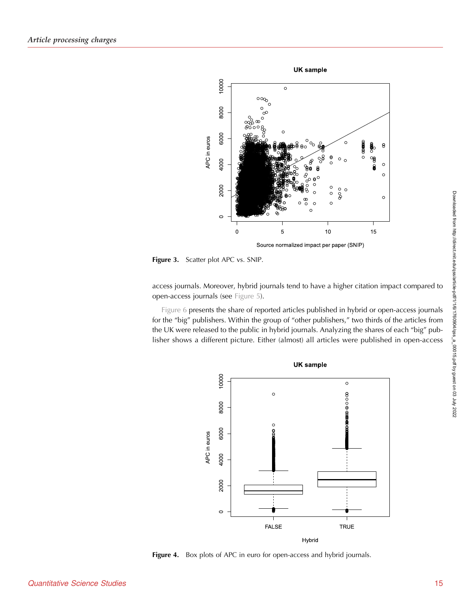<span id="page-9-0"></span>

Figure 3. Scatter plot APC vs. SNIP.

access journals. Moreover, hybrid journals tend to have a higher citation impact compared to open-access journals (see [Figure 5\)](#page-10-0).

[Figure 6](#page-10-0) presents the share of reported articles published in hybrid or open-access journals for the "big" publishers. Within the group of "other publishers," two thirds of the articles from the UK were released to the public in hybrid journals. Analyzing the shares of each "big" publisher shows a different picture. Either (almost) all articles were published in open-access



Figure 4. Box plots of APC in euro for open-access and hybrid journals.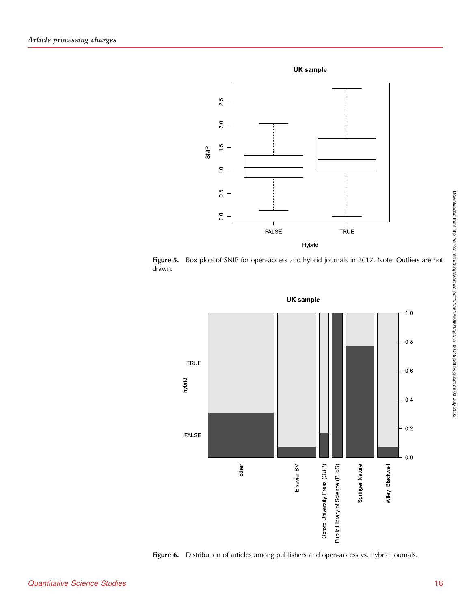<span id="page-10-0"></span>

Figure 5. Box plots of SNIP for open-access and hybrid journals in 2017. Note: Outliers are not drawn.



Figure 6. Distribution of articles among publishers and open-access vs. hybrid journals.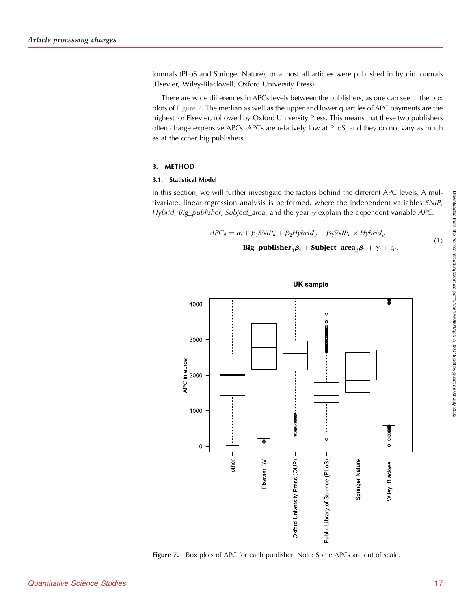journals (PLoS and Springer Nature), or almost all articles were published in hybrid journals (Elsevier, Wiley-Blackwell, Oxford University Press).

There are wide differences in APCs levels between the publishers, as one can see in the box plots of Figure 7. The median as well as the upper and lower quartiles of APC payments are the highest for Elsevier, followed by Oxford University Press. This means that these two publishers often charge expensive APCs. APCs are relatively low at PLoS, and they do not vary as much as at the other big publishers.

## 3. METHOD

## 3.1. Statistical Model

In this section, we will further investigate the factors behind the different APC levels. A multivariate, linear regression analysis is performed, where the independent variables SNIP, Hybrid, Big\_publisher, Subject\_area, and the year  $\gamma$  explain the dependent variable APC:

$$
APC_{it} = \alpha_i + \beta_1 \text{SNIP}_{it} + \beta_2 \text{Hybrid}_{it} + \beta_3 \text{SNIP}_{it} \times \text{Hybrid}_{it}
$$
  
+ **Big–publicf**<sub>it</sub> $\beta_i + \text{Subject\_area}'_{it} \beta_5 + \gamma_t + \epsilon_{it}.$  (1)



Figure 7. Box plots of APC for each publisher. Note: Some APCs are out of scale.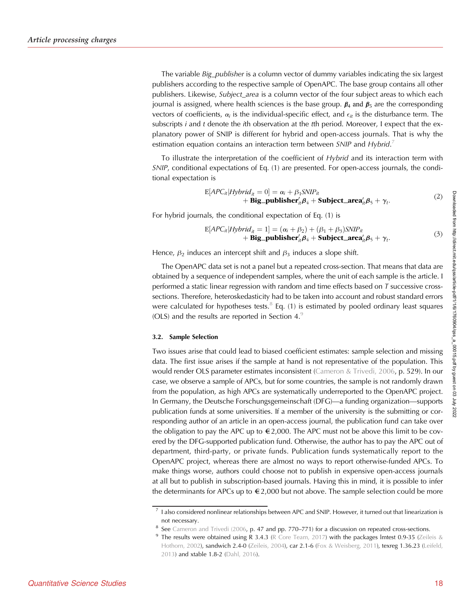The variable *Big\_publisher* is a column vector of dummy variables indicating the six largest publishers according to the respective sample of OpenAPC. The base group contains all other publishers. Likewise, Subject\_area is a column vector of the four subject areas to which each journal is assigned, where health sciences is the base group.  $\beta_4$  and  $\beta_5$  are the corresponding vectors of coefficients,  $\alpha_i$  is the individual-specific effect, and  $\epsilon_{it}$  is the disturbance term. The subscripts *i* and *t* denote the *i*th observation at the *t*th period. Moreover, I expect that the explanatory power of SNIP is different for hybrid and open-access journals. That is why the estimation equation contains an interaction term between SNIP and Hybrid.<sup>7</sup>

To illustrate the interpretation of the coefficient of Hybrid and its interaction term with SNIP, conditional expectations of Eq. (1) are presented. For open-access journals, the conditional expectation is

$$
E[APC_{it}|Hybrid_{it} = 0] = \alpha_i + \beta_1 \text{SNIP}_{it} + \text{Big\_publicer}_{it}'\beta_i + \text{Subject\_area}_{it}'\beta_5 + \gamma_t.
$$
\n(2)

For hybrid journals, the conditional expectation of Eq. (1) is

$$
E[APC_{it}|Hybrid_{it} = 1] = (\alpha_i + \beta_2) + (\beta_1 + \beta_3)SNIP_{it}
$$
  
+ **Big–publicf**<sub>it</sub> $\beta_4$  + **Subject**<sub>..</sub>**area**<sub>it</sub> $\beta_5$  +  $\gamma_t$ . (3)

Hence,  $\beta_2$  induces an intercept shift and  $\beta_3$  induces a slope shift.

The OpenAPC data set is not a panel but a repeated cross-section. That means that data are obtained by a sequence of independent samples, where the unit of each sample is the article. I performed a static linear regression with random and time effects based on  $T$  successive crosssections. Therefore, heteroskedasticity had to be taken into account and robust standard errors were calculated for hypotheses tests.<sup>8</sup> Eq. (1) is estimated by pooled ordinary least squares (OLS) and the results are reported in Section  $4.9$ 

#### 3.2. Sample Selection

Two issues arise that could lead to biased coefficient estimates: sample selection and missing data. The first issue arises if the sample at hand is not representative of the population. This would render OLS parameter estimates inconsistent [\(Cameron & Trivedi, 2006](#page-21-0), p. 529). In our case, we observe a sample of APCs, but for some countries, the sample is not randomly drawn from the population, as high APCs are systematically underreported to the OpenAPC project. In Germany, the Deutsche Forschungsgemeinschaft (DFG)—a funding organization—supports publication funds at some universities. If a member of the university is the submitting or corresponding author of an article in an open-access journal, the publication fund can take over the obligation to pay the APC up to  $\epsilon$  2,000. The APC must not be above this limit to be covered by the DFG-supported publication fund. Otherwise, the author has to pay the APC out of department, third-party, or private funds. Publication funds systematically report to the OpenAPC project, whereas there are almost no ways to report otherwise-funded APCs. To make things worse, authors could choose not to publish in expensive open-access journals at all but to publish in subscription-based journals. Having this in mind, it is possible to infer the determinants for APCs up to  $\epsilon$  2,000 but not above. The sample selection could be more

 $\frac{7}{1}$  I also considered nonlinear relationships between APC and SNIP. However, it turned out that linearization is not necessary.

<sup>&</sup>lt;sup>8</sup> See [Cameron and Trivedi \(2006](#page-21-0), p. 47 and pp. 770–771) for a discussion on repeated cross-sections.

<sup>&</sup>lt;sup>9</sup> The results were obtained using R 3.4.3 [\(R Core Team, 2017](#page-21-0)) with the packages Imtest 0.9-35 ([Zeileis &](#page-21-0) [Hothorn, 2002\)](#page-21-0), sandwich 2.4-0 [\(Zeileis, 2004\)](#page-21-0), car 2.1-6 [\(Fox & Weisberg, 2011\)](#page-21-0), texreg 1.36.23 ([Leifeld,](#page-21-0) [2013](#page-21-0)) and xtable 1.8-2 [\(Dahl, 2016](#page-21-0)).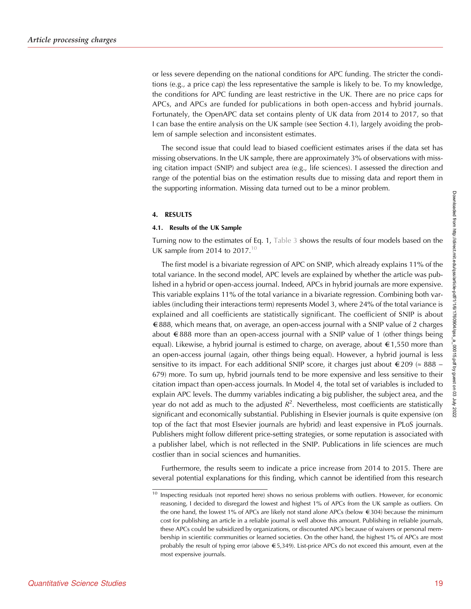or less severe depending on the national conditions for APC funding. The stricter the conditions (e.g., a price cap) the less representative the sample is likely to be. To my knowledge, the conditions for APC funding are least restrictive in the UK. There are no price caps for APCs, and APCs are funded for publications in both open-access and hybrid journals. Fortunately, the OpenAPC data set contains plenty of UK data from 2014 to 2017, so that I can base the entire analysis on the UK sample (see Section 4.1), largely avoiding the problem of sample selection and inconsistent estimates.

The second issue that could lead to biased coefficient estimates arises if the data set has missing observations. In the UK sample, there are approximately 3% of observations with missing citation impact (SNIP) and subject area (e.g., life sciences). I assessed the direction and range of the potential bias on the estimation results due to missing data and report them in the supporting information. Missing data turned out to be a minor problem.

#### 4. RESULTS

# 4.1. Results of the UK Sample

Turning now to the estimates of Eq. 1, [Table 3](#page-14-0) shows the results of four models based on the UK sample from 2014 to  $2017.<sup>10</sup>$ 

The first model is a bivariate regression of APC on SNIP, which already explains 11% of the total variance. In the second model, APC levels are explained by whether the article was published in a hybrid or open-access journal. Indeed, APCs in hybrid journals are more expensive. This variable explains 11% of the total variance in a bivariate regression. Combining both variables (including their interactions term) represents Model 3, where 24% of the total variance is explained and all coefficients are statistically significant. The coefficient of SNIP is about  $\epsilon$ 888, which means that, on average, an open-access journal with a SNIP value of 2 charges about  $\epsilon$ 888 more than an open-access journal with a SNIP value of 1 (other things being equal). Likewise, a hybrid journal is estimed to charge, on average, about  $\epsilon$ 1,550 more than an open-access journal (again, other things being equal). However, a hybrid journal is less sensitive to its impact. For each additional SNIP score, it charges just about €209 ( $\approx$  888 – 679) more. To sum up, hybrid journals tend to be more expensive and less sensitive to their citation impact than open-access journals. In Model 4, the total set of variables is included to explain APC levels. The dummy variables indicating a big publisher, the subject area, and the year do not add as much to the adjusted  $R^2$ . Nevertheless, most coefficients are statistically significant and economically substantial. Publishing in Elsevier journals is quite expensive (on top of the fact that most Elsevier journals are hybrid) and least expensive in PLoS journals. Publishers might follow different price-setting strategies, or some reputation is associated with a publisher label, which is not reflected in the SNIP. Publications in life sciences are much costlier than in social sciences and humanities.

Furthermore, the results seem to indicate a price increase from 2014 to 2015. There are several potential explanations for this finding, which cannot be identified from this research

<sup>&</sup>lt;sup>10</sup> Inspecting residuals (not reported here) shows no serious problems with outliers. However, for economic reasoning, I decided to disregard the lowest and highest 1% of APCs from the UK sample as outliers. On the one hand, the lowest 1% of APCs are likely not stand alone APCs (below  $\epsilon$ 304) because the minimum cost for publishing an article in a reliable journal is well above this amount. Publishing in reliable journals, these APCs could be subsidized by organizations, or discounted APCs because of waivers or personal membership in scientific communities or learned societies. On the other hand, the highest 1% of APCs are most probably the result of typing error (above  $\epsilon$  5,349). List-price APCs do not exceed this amount, even at the most expensive journals.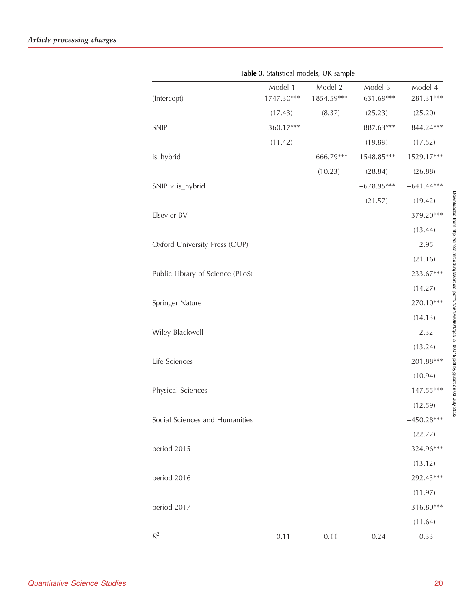<span id="page-14-0"></span>

|                                  | Model 1    | Model 2    | Model 3      | Model 4      |
|----------------------------------|------------|------------|--------------|--------------|
| (Intercept)                      | 1747.30*** | 1854.59*** | 631.69***    | 281.31***    |
|                                  | (17.43)    | (8.37)     | (25.23)      | (25.20)      |
| SNIP                             | 360.17***  |            | 887.63***    | 844.24***    |
|                                  | (11.42)    |            | (19.89)      | (17.52)      |
| is_hybrid                        |            | 666.79***  | 1548.85***   | 1529.17***   |
|                                  |            | (10.23)    | (28.84)      | (26.88)      |
| $SNIP \times$ is_hybrid          |            |            | $-678.95***$ | $-641.44***$ |
|                                  |            |            | (21.57)      | (19.42)      |
| Elsevier BV                      |            |            |              | 379.20***    |
|                                  |            |            |              | (13.44)      |
| Oxford University Press (OUP)    |            |            |              | $-2.95$      |
|                                  |            |            |              | (21.16)      |
| Public Library of Science (PLoS) |            |            |              | $-233.67***$ |
|                                  |            |            |              | (14.27)      |
| Springer Nature                  |            |            |              | 270.10***    |
|                                  |            |            |              | (14.13)      |
| Wiley-Blackwell                  |            |            |              | 2.32         |
|                                  |            |            |              | (13.24)      |
| Life Sciences                    |            |            |              | 201.88***    |
|                                  |            |            |              | (10.94)      |
| Physical Sciences                |            |            |              | $-147.55***$ |
|                                  |            |            |              | (12.59)      |
| Social Sciences and Humanities   |            |            |              | $-450.28***$ |
|                                  |            |            |              | (22.77)      |
| period 2015                      |            |            |              | 324.96***    |
|                                  |            |            |              | (13.12)      |
| period 2016                      |            |            |              | 292.43***    |
|                                  |            |            |              | (11.97)      |
| period 2017                      |            |            |              | 316.80***    |
|                                  |            |            |              | (11.64)      |
| $\mathbb{R}^2$                   | 0.11       | 0.11       | 0.24         | 0.33         |
|                                  |            |            |              |              |

Table 3. Statistical models, UK sample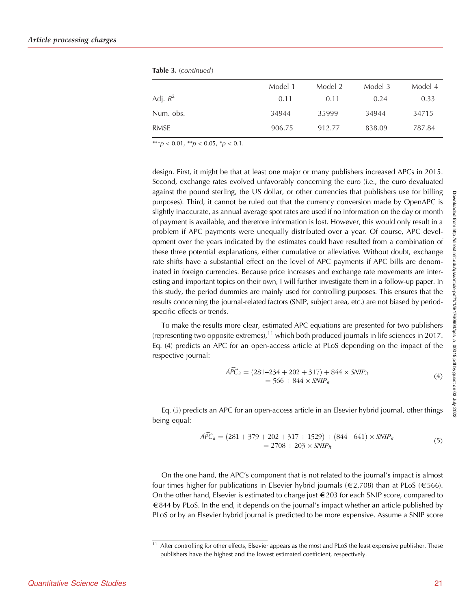|             | Model 1 | Model 2 | Model 3 | Model 4 |
|-------------|---------|---------|---------|---------|
| Adj. $R^2$  | 0.11    | 0.11    | 0.24    | 0.33    |
| Num. obs.   | 34944   | 35999   | 34944   | 34715   |
| <b>RMSE</b> | 906.75  | 912.77  | 838.09  | 787.84  |

Table 3. (continued)

\*\*\*p < 0.01, \*\*p < 0.05, \*p < 0.1.

design. First, it might be that at least one major or many publishers increased APCs in 2015. Second, exchange rates evolved unfavorably concerning the euro (i.e., the euro devaluated against the pound sterling, the US dollar, or other currencies that publishers use for billing purposes). Third, it cannot be ruled out that the currency conversion made by OpenAPC is slightly inaccurate, as annual average spot rates are used if no information on the day or month of payment is available, and therefore information is lost. However, this would only result in a problem if APC payments were unequally distributed over a year. Of course, APC development over the years indicated by the estimates could have resulted from a combination of these three potential explanations, either cumulative or alleviative. Without doubt, exchange rate shifts have a substantial effect on the level of APC payments if APC bills are denominated in foreign currencies. Because price increases and exchange rate movements are interesting and important topics on their own, I will further investigate them in a follow-up paper. In this study, the period dummies are mainly used for controlling purposes. This ensures that the results concerning the journal-related factors (SNIP, subject area, etc.) are not biased by periodspecific effects or trends.

To make the results more clear, estimated APC equations are presented for two publishers (representing two opposite extremes),<sup>11</sup> which both produced journals in life sciences in 2017. Eq. (4) predicts an APC for an open-access article at PLoS depending on the impact of the respective journal:  $\widehat{APC}_{it}$ 

$$
\widehat{APC}_{it} = (281 - 234 + 202 + 317) + 844 \times SNIP_{it}
$$
  
= 566 + 844 \times SNIP\_{it} (4)

Eq. (5) predicts an APC for an open-access article in an Elsevier hybrid journal, other things being equal:  $\widehat{APC}_{it}$ 

$$
\widehat{APC}_{it} = (281 + 379 + 202 + 317 + 1529) + (844 - 641) \times \text{SNIP}_{it}
$$
  
= 2708 + 203 \times \text{SNIP}\_{it} (5)

On the one hand, the APC's component that is not related to the journal's impact is almost four times higher for publications in Elsevier hybrid journals ( $\epsilon$ 2,708) than at PLoS ( $\epsilon$ 566). On the other hand, Elsevier is estimated to charge just  $\epsilon$  203 for each SNIP score, compared to  $\epsilon$ 844 by PLoS. In the end, it depends on the journal's impact whether an article published by PLoS or by an Elsevier hybrid journal is predicted to be more expensive. Assume a SNIP score

<sup>&</sup>lt;sup>11</sup> After controlling for other effects, Elsevier appears as the most and PLoS the least expensive publisher. These publishers have the highest and the lowest estimated coefficient, respectively.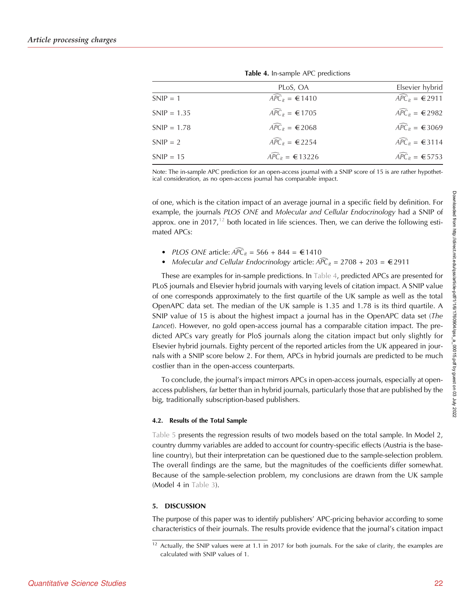|               | <b>Existent</b> in the sample $\ell$ and $\ell$ predictions |                                                 |
|---------------|-------------------------------------------------------------|-------------------------------------------------|
|               | PLoS, OA                                                    | Elsevier hybrid                                 |
| $SNIP = 1$    | $\widehat{APC}_{it} = \text{\textsterling}1410$             | $\widehat{APC}_{it} = \epsilon 2911$            |
| $SNIP = 1.35$ | $\widehat{APC}_{it} = \text{\textsterling}1705$             | $\widehat{APC}_{it} = \epsilon 2982$            |
| $SNIP = 1.78$ | $\widehat{APC}_{it} = \text{\textsterling}2068$             | $\widehat{APC}_{it} = \text{\textsterling}3069$ |
| $SNIP = 2$    | $\widehat{APC}_{it} = \epsilon 2254$                        | $\widehat{APC}_{it} = \text{\textsterling}3114$ |
| $SNIP = 15$   | $\widehat{APC}_{it} = \text{\textsterling}13226$            | $\widehat{APC}_{it} = \epsilon$ 5753            |

Table 4. In-sample APC predictions

Note: The in-sample APC prediction for an open-access journal with a SNIP score of 15 is are rather hypothetical consideration, as no open-access journal has comparable impact.

of one, which is the citation impact of an average journal in a specific field by definition. For example, the journals PLOS ONE and Molecular and Cellular Endocrinology had a SNIP of approx. one in 2017,<sup>12</sup> both located in life sciences. Then, we can derive the following estimated APCs:

- ted APCs:<br>
PLOS ONE article:  $\widehat{APC}_h = 566 + 844 = €1410$
- PLOS ONE article:  $\widehat{APC}_{it} = 566 + 844 = \text{\textsterling}1410$ <br>• Molecular and Cellular Endocrinology article:  $\widehat{APC}_{it} = 2708 + 203 = \text{\textsterling}2911$

These are examples for in-sample predictions. In Table 4, predicted APCs are presented for PLoS journals and Elsevier hybrid journals with varying levels of citation impact. A SNIP value of one corresponds approximately to the first quartile of the UK sample as well as the total OpenAPC data set. The median of the UK sample is 1.35 and 1.78 is its third quartile. A SNIP value of 15 is about the highest impact a journal has in the OpenAPC data set (The Lancet). However, no gold open-access journal has a comparable citation impact. The predicted APCs vary greatly for PloS journals along the citation impact but only slightly for Elsevier hybrid journals. Eighty percent of the reported articles from the UK appeared in journals with a SNIP score below 2. For them, APCs in hybrid journals are predicted to be much costlier than in the open-access counterparts.

To conclude, the journal's impact mirrors APCs in open-access journals, especially at openaccess publishers, far better than in hybrid journals, particularly those that are published by the big, traditionally subscription-based publishers.

#### 4.2. Results of the Total Sample

[Table 5](#page-17-0) presents the regression results of two models based on the total sample. In Model 2, country dummy variables are added to account for country-specific effects (Austria is the baseline country), but their interpretation can be questioned due to the sample-selection problem. The overall findings are the same, but the magnitudes of the coefficients differ somewhat. Because of the sample-selection problem, my conclusions are drawn from the UK sample (Model 4 in [Table 3](#page-14-0)).

## 5. DISCUSSION

The purpose of this paper was to identify publishers' APC-pricing behavior according to some characteristics of their journals. The results provide evidence that the journal's citation impact

 $12$  Actually, the SNIP values were at 1.1 in 2017 for both journals. For the sake of clarity, the examples are calculated with SNIP values of 1.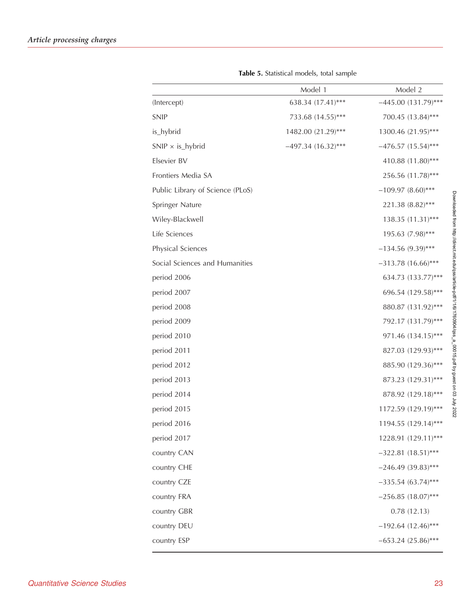<span id="page-17-0"></span>

|                                  | Model 1             | Model 2               |
|----------------------------------|---------------------|-----------------------|
| (Intercept)                      | 638.34 (17.41)***   | $-445.00(131.79)$ *** |
| SNIP                             | 733.68 (14.55)***   | 700.45 (13.84)***     |
| is_hybrid                        | 1482.00 (21.29)***  | 1300.46 (21.95)***    |
| $SNIP \times$ is_hybrid          | $-497.34(16.32)***$ | $-476.57(15.54)$ ***  |
| Elsevier BV                      |                     | 410.88 (11.80)***     |
| Frontiers Media SA               |                     | 256.56 (11.78)***     |
| Public Library of Science (PLoS) |                     | $-109.97(8.60)$ ***   |
| Springer Nature                  |                     | 221.38 (8.82)***      |
| Wiley-Blackwell                  |                     | 138.35 (11.31)***     |
| Life Sciences                    |                     | 195.63 (7.98)***      |
| Physical Sciences                |                     | $-134.56(9.39)$ ***   |
| Social Sciences and Humanities   |                     | $-313.78(16.66)***$   |
| period 2006                      |                     | 634.73 (133.77)***    |
| period 2007                      |                     | 696.54 (129.58)***    |
| period 2008                      |                     | 880.87 (131.92)***    |
| period 2009                      |                     | 792.17 (131.79)***    |
| period 2010                      |                     | 971.46 (134.15)***    |
| period 2011                      |                     | 827.03 (129.93)***    |
| period 2012                      |                     | 885.90 (129.36)***    |
| period 2013                      |                     | 873.23 (129.31)***    |
| period 2014                      |                     | 878.92 (129.18)***    |
| period 2015                      |                     | 1172.59 (129.19)***   |
| period 2016                      |                     | 1194.55 (129.14)***   |
| period 2017                      |                     | 1228.91 (129.11)***   |
| country CAN                      |                     | $-322.81(18.51)***$   |
| country CHE                      |                     | $-246.49(39.83)***$   |
| country CZE                      |                     | $-335.54(63.74)$ ***  |
| country FRA                      |                     | $-256.85(18.07)$ ***  |
| country GBR                      |                     | 0.78(12.13)           |
| country DEU                      |                     | $-192.64(12.46)$ ***  |
| country ESP                      |                     | $-653.24(25.86)***$   |

Table 5. Statistical models, total sample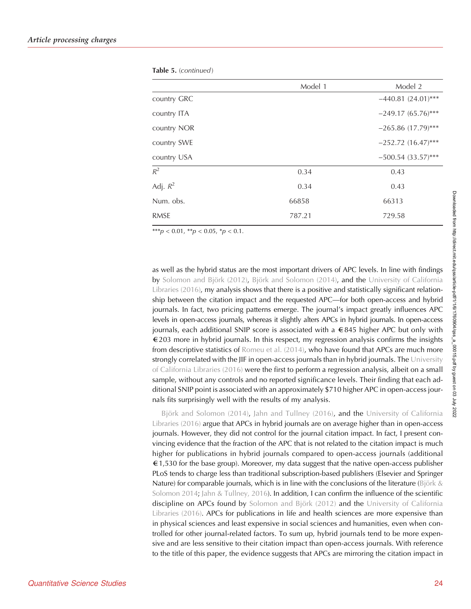|             | Model 1 | Model 2              |
|-------------|---------|----------------------|
| country GRC |         | $-440.81(24.01)$ *** |
| country ITA |         | $-249.17(65.76)$ *** |
| country NOR |         | $-265.86$ (17.79)*** |
| country SWE |         | $-252.72(16.47)$ *** |
| country USA |         | $-500.54(33.57)$ *** |
| $R^2$       | 0.34    | 0.43                 |
| Adj. $R^2$  | 0.34    | 0.43                 |
| Num. obs.   | 66858   | 66313                |
| <b>RMSE</b> | 787.21  | 729.58               |

Table 5. (continued)

\*\*\*p < 0.01, \*\*p < 0.05, \*p < 0.1.

as well as the hybrid status are the most important drivers of APC levels. In line with findings by [Solomon and Björk \(2012\),](#page-21-0) [Björk and Solomon \(2014\)](#page-21-0), and the [University of California](#page-21-0) [Libraries \(2016\),](#page-21-0) my analysis shows that there is a positive and statistically significant relationship between the citation impact and the requested APC—for both open-access and hybrid journals. In fact, two pricing patterns emerge. The journal's impact greatly influences APC levels in open-access journals, whereas it slightly alters APCs in hybrid journals. In open-access journals, each additional SNIP score is associated with a  $\epsilon$ 845 higher APC but only with  $\epsilon$ 203 more in hybrid journals. In this respect, my regression analysis confirms the insights from descriptive statistics of [Romeu et al. \(2014\),](#page-21-0) who have found that APCs are much more strongly correlated with the JIF in open-access journals than in hybrid journals. The [University](#page-21-0) [of California Libraries \(2016\)](#page-21-0) were the first to perform a regression analysis, albeit on a small sample, without any controls and no reported significance levels. Their finding that each additional SNIP point is associated with an approximately \$710 higher APC in open-access journals fits surprisingly well with the results of my analysis.

[Björk and Solomon \(2014\)](#page-21-0), [Jahn and Tullney \(2016\),](#page-21-0) and the [University of California](#page-21-0) [Libraries \(2016\)](#page-21-0) argue that APCs in hybrid journals are on average higher than in open-access journals. However, they did not control for the journal citation impact. In fact, I present convincing evidence that the fraction of the APC that is not related to the citation impact is much higher for publications in hybrid journals compared to open-access journals (additional  $\epsilon$ 1,530 for the base group). Moreover, my data suggest that the native open-access publisher PLoS tends to charge less than traditional subscription-based publishers (Elsevier and Springer Nature) for comparable journals, which is in line with the conclusions of the literature (Björk  $\&$ [Solomon 2014](#page-21-0); [Jahn & Tullney, 2016\)](#page-21-0). In addition, I can confirm the influence of the scientific discipline on APCs found by [Solomon and Björk \(2012\)](#page-21-0) and the [University of California](#page-21-0) [Libraries \(2016\)](#page-21-0). APCs for publications in life and health sciences are more expensive than in physical sciences and least expensive in social sciences and humanities, even when controlled for other journal-related factors. To sum up, hybrid journals tend to be more expensive and are less sensitive to their citation impact than open-access journals. With reference to the title of this paper, the evidence suggests that APCs are mirroring the citation impact in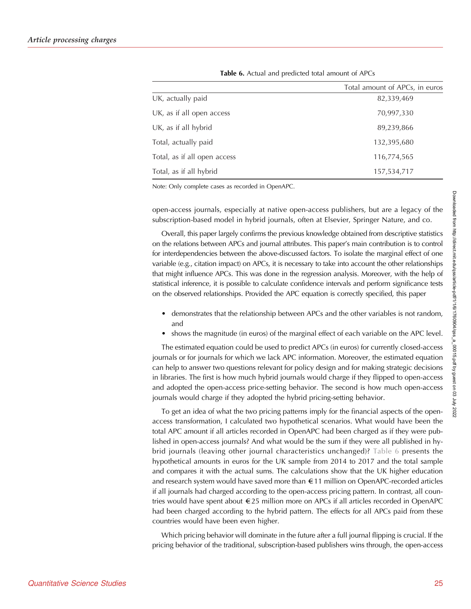|                              | Total amount of APCs, in euros |
|------------------------------|--------------------------------|
| UK, actually paid            | 82,339,469                     |
| UK, as if all open access    | 70,997,330                     |
| UK, as if all hybrid         | 89,239,866                     |
| Total, actually paid         | 132,395,680                    |
| Total, as if all open access | 116,774,565                    |
| Total, as if all hybrid      | 157,534,717                    |

Table 6. Actual and predicted total amount of APCs

Note: Only complete cases as recorded in OpenAPC.

open-access journals, especially at native open-access publishers, but are a legacy of the subscription-based model in hybrid journals, often at Elsevier, Springer Nature, and co.

Overall, this paper largely confirms the previous knowledge obtained from descriptive statistics on the relations between APCs and journal attributes. This paper's main contribution is to control for interdependencies between the above-discussed factors. To isolate the marginal effect of one variable (e.g., citation impact) on APCs, it is necessary to take into account the other relationships that might influence APCs. This was done in the regression analysis. Moreover, with the help of statistical inference, it is possible to calculate confidence intervals and perform significance tests on the observed relationships. Provided the APC equation is correctly specified, this paper

- demonstrates that the relationship between APCs and the other variables is not random, and
- shows the magnitude (in euros) of the marginal effect of each variable on the APC level.

The estimated equation could be used to predict APCs (in euros) for currently closed-access journals or for journals for which we lack APC information. Moreover, the estimated equation can help to answer two questions relevant for policy design and for making strategic decisions in libraries. The first is how much hybrid journals would charge if they flipped to open-access and adopted the open-access price-setting behavior. The second is how much open-access journals would charge if they adopted the hybrid pricing-setting behavior.

To get an idea of what the two pricing patterns imply for the financial aspects of the openaccess transformation, I calculated two hypothetical scenarios. What would have been the total APC amount if all articles recorded in OpenAPC had been charged as if they were published in open-access journals? And what would be the sum if they were all published in hybrid journals (leaving other journal characteristics unchanged)? Table 6 presents the hypothetical amounts in euros for the UK sample from 2014 to 2017 and the total sample and compares it with the actual sums. The calculations show that the UK higher education and research system would have saved more than  $\epsilon$  11 million on OpenAPC-recorded articles if all journals had charged according to the open-access pricing pattern. In contrast, all countries would have spent about €25 million more on APCs if all articles recorded in OpenAPC had been charged according to the hybrid pattern. The effects for all APCs paid from these countries would have been even higher.

Which pricing behavior will dominate in the future after a full journal flipping is crucial. If the pricing behavior of the traditional, subscription-based publishers wins through, the open-access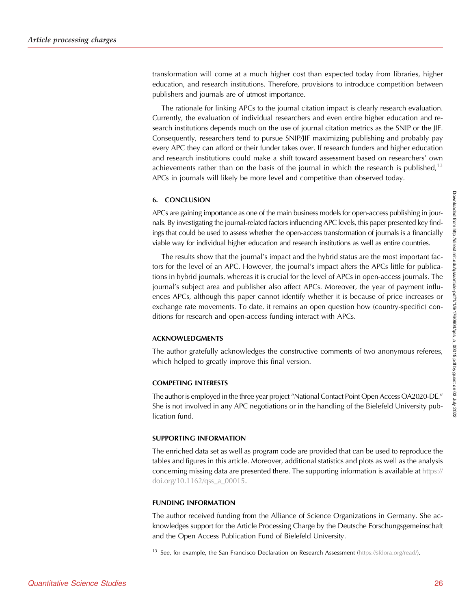transformation will come at a much higher cost than expected today from libraries, higher education, and research institutions. Therefore, provisions to introduce competition between publishers and journals are of utmost importance.

The rationale for linking APCs to the journal citation impact is clearly research evaluation. Currently, the evaluation of individual researchers and even entire higher education and research institutions depends much on the use of journal citation metrics as the SNIP or the JIF. Consequently, researchers tend to pursue SNIP/JIF maximizing publishing and probably pay every APC they can afford or their funder takes over. If research funders and higher education and research institutions could make a shift toward assessment based on researchers' own achievements rather than on the basis of the journal in which the research is published,  $13$ APCs in journals will likely be more level and competitive than observed today.

# 6. CONCLUSION

APCs are gaining importance as one of the main business models for open-access publishing in journals. By investigating the journal-related factors influencing APC levels, this paper presented key findings that could be used to assess whether the open-access transformation of journals is a financially viable way for individual higher education and research institutions as well as entire countries.

The results show that the journal's impact and the hybrid status are the most important factors for the level of an APC. However, the journal's impact alters the APCs little for publications in hybrid journals, whereas it is crucial for the level of APCs in open-access journals. The journal's subject area and publisher also affect APCs. Moreover, the year of payment influences APCs, although this paper cannot identify whether it is because of price increases or exchange rate movements. To date, it remains an open question how (country-specific) conditions for research and open-access funding interact with APCs.

## ACKNOWLEDGMENTS

The author gratefully acknowledges the constructive comments of two anonymous referees, which helped to greatly improve this final version.

# COMPETING INTERESTS

The author is employed in the three year project "National Contact Point Open Access OA2020-DE." She is not involved in any APC negotiations or in the handling of the Bielefeld University publication fund.

## SUPPORTING INFORMATION

The enriched data set as well as program code are provided that can be used to reproduce the tables and figures in this article. Moreover, additional statistics and plots as well as the analysis concerning missing data are presented there. The supporting information is available at [https://](https://doi.org/10.1162/qss_a_00015) [doi.org/10.1162/qss\\_a\\_00015.](https://doi.org/10.1162/qss_a_00015)

## FUNDING INFORMATION

The author received funding from the Alliance of Science Organizations in Germany. She acknowledges support for the Article Processing Charge by the Deutsche Forschungsgemeinschaft and the Open Access Publication Fund of Bielefeld University.

<sup>&</sup>lt;sup>13</sup> See, for example, the San Francisco Declaration on Research Assessment [\(https://sfdora.org/read/](https://sfdora.org/read/)).